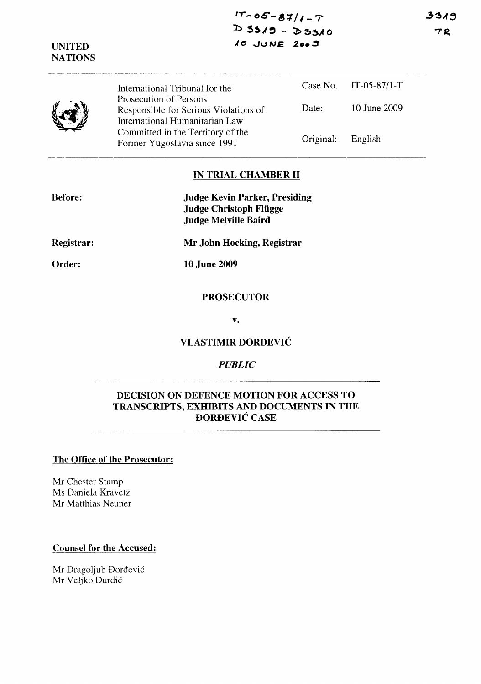| <b>UNITED</b><br><b>NATIONS</b> | 10 JUNE 2009                                                                                      |           |                       |
|---------------------------------|---------------------------------------------------------------------------------------------------|-----------|-----------------------|
|                                 | International Tribunal for the                                                                    |           | Case No. IT-05-87/1-T |
|                                 | Prosecution of Persons<br>Responsible for Serious Violations of<br>International Humanitarian Law | Date:     | 10 June 2009          |
|                                 | Committed in the Territory of the<br>Former Yugoslavia since 1991                                 | Original: | English               |

#### **IN TRIAL CHAMBER II**

| <b>Before:</b>    | <b>Judge Kevin Parker, Presiding</b><br><b>Judge Christoph Flügge</b><br><b>Judge Melville Baird</b> |  |
|-------------------|------------------------------------------------------------------------------------------------------|--|
| <b>Registrar:</b> | Mr John Hocking, Registrar                                                                           |  |
| Order:            | <b>10 June 2009</b>                                                                                  |  |
|                   | <b>PROSECUTOR</b>                                                                                    |  |
|                   | v.                                                                                                   |  |

# **VLASTIMIR DORDEVIC**

### *PUBLIC*

### **DECISION ON DEFENCE MOTION FOR ACCESS TO TRANSCRIPTS, EXHIBITS AND DOCUMENTS IN THE DORDEVIC CASE**

#### **The Office of the Prosecutor:**

Mr Chester Stamp Ms Daniela Kravetz Mr Matthias Neuner

## **Counsel for the Accused:**

Mr Dragoljub Đorđević Mr Veljko Durdic

3319  $TR$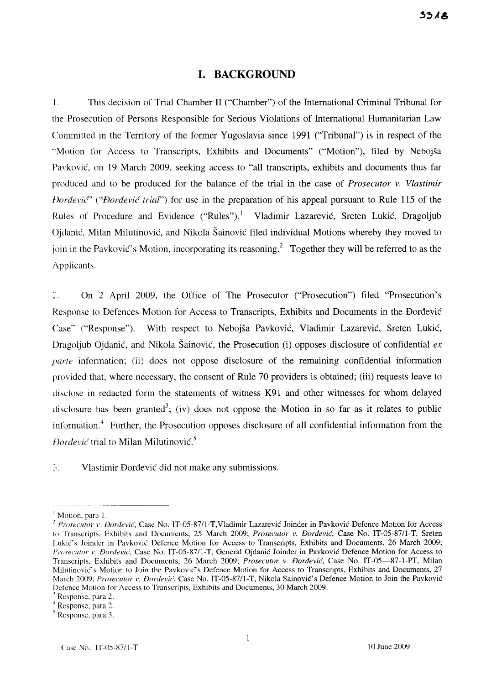#### **I. BACKGROUND**

I. This decision of Trial Chamber II ("Chamber") of the International Criminal Tribunal for the Prosecution of Persons Responsible for Serious Violations of International Humanitarian Law Committed in the Territory of the former Yugoslavia since 1991 ("Tribunal") is in respect of the "Motion for Access to Transcripts, Exhibits and Documents" ("Motion"), filed by Nebojsa Pavkovic, on 19 March 2009, seeking access to "all transcripts, exhibits and documents thus far produced and to be produced for the balance of the trial in the case of *Prosecutor* v. *Vlastimir Vordevic*" ("*Dordevic trial*") for use in the preparation of his appeal pursuant to Rule 115 of the Rules of Procedure and Evidence ("Rules").<sup>1</sup> Vladimir Lazarević, Sreten Lukić, Dragoljub Ojdanic, Milan Milutinovic, and Nikola Sainovic filed individual Motions whereby they moved to join in the Pavković's Motion, incorporating its reasoning.<sup>2</sup> Together they will be referred to as the Applicants.

 $\hat{\mathbb{Z}}$ . On 2 April 2009, the Office of The Prosecutor ("Prosecution") filed "Prosecution's Response to Defences Motion for Access to Transcripts, Exhibits and Documents in the Dordevic Case" ("Response"). With respect to Nebojsa Pavkovic, Vladimir Lazarevic, Sreten Lukic, Dragoljub Ojdanić, and Nikola Šainović, the Prosecution (i) opposes disclosure of confidential  $ex$ *parte* information; (ii) does not oppose disclosure of the remaining confidential information provided that, where necessary, the consent of Rule 70 providers is obtained; (iii) requests leave to disclose in redacted form the statements of witness K91 and other witnesses for whom delayed disclosure has been granted<sup>3</sup>; (iv) does not oppose the Motion in so far as it relates to public information.<sup>4</sup> Further, the Prosecution opposes disclosure of all confidential information from the *I Dorđević* trial to Milan Milutinović.<sup>5</sup>

.'. Vlastimir Dordevic did not make any submissions.

<sup>&</sup>lt;sup>1</sup> Motion, para 1.

<sup>&</sup>lt;sup>2</sup> Prosecutor *v. Dordević*, Case No. IT-05-87/1-T, Vladimir Lazarević Joinder in Pavković Defence Motion for Access to Transcripts, Exhibits and Documents, 25 March 2009; *Prosecutor v. Đorđević*, Case No. IT-05-87/1-T, Sreten Lukic's Joinder in Pavkovic Defence Motion for Access to Transcripts, Exhibits and Documents, 26 March 2009; *Proseclltor* 1'. *Dordevic,* Case No. IT-05-87/l-T, General Ojdanic Joinder in Pavkovic Defence Motion for Access to Transcripts, Exhibits and Documents, 26 March 2009; *Prosecutor v. Dordevic',* Case No. IT-05-87-1-PT, Milan Milutinović's Motion to Join the Pavković's Defence Motion for Access to Transcripts, Exhibits and Documents, 27 March 2009; Prosecutor v. Dorđević, Case No. IT-05-87/1-T, Nikola Sainović's Defence Motion to Join the Pavković Defence Motion for Access to Transcripts, Exhibits and Documents, 30 March 2009.

 $^3$  Response, para 2.

<sup>4</sup> Response, para 2.

 $<sup>5</sup>$  Response, para 3.</sup>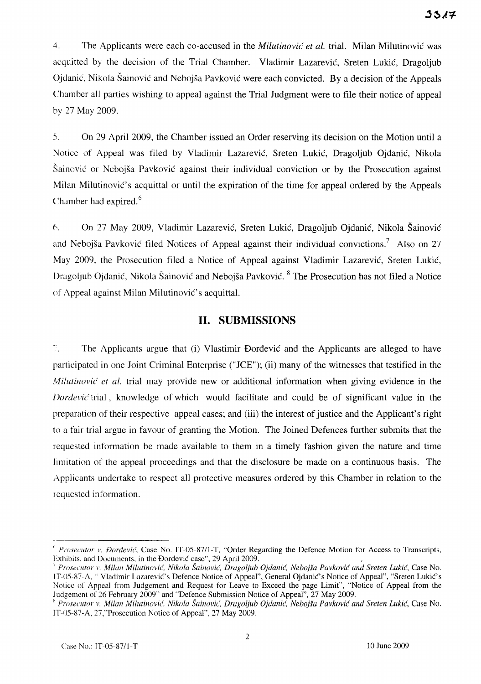4. The Applicants were each co-accused in the *Milutinovic et al.* trial. Milan Milutinovic was acquitted by the decision of the Trial Chamber. Vladimir Lazarevic, Sreten Lukic, Dragoljub Ojdanic, Nikola Sainovic and Nebojsa Pavkovic were each convicted. By a decision of the Appeals Chamber all parties wishing to appeal against the Trial Judgment were to file their notice of appeal by 27 May 2009.

5. On 29 April 2009, the Chamber issued an Order reserving its decision on the Motion until a Notice of Appeal was filed by Vladimir Lazarevic, Sreten Lukic, Dragoljub Ojdanic, Nikola Sainovic or Nebojsa Pavkovic against their individual conviction or by the Prosecution against Milan Milutinovic's acquittal or until the expiration of the time for appeal ordered by the Appeals Chamber had expired. $<sup>6</sup>$ </sup>

6. On 27 May 2009, Vladimir Lazarevic, Sreten Lukic, Dragoljub Ojdanic, Nikola Sainovic and Nebojša Pavković filed Notices of Appeal against their individual convictions.<sup>7</sup> Also on 27 May 2009, the Prosecution filed a Notice of Appeal against Vladimir Lazarevic, Sreten Lukic, Dragoljub Ojdanić, Nikola Šainović and Nebojša Pavković. <sup>8</sup> The Prosecution has not filed a Notice of Appeal against Milan MilutinoviC's acquittal.

# **II. SUBMISSIONS**

 $7.$ The Applicants argue that (i) Vlastimir Dordevic and the Applicants are alleged to have participated in one Joint Criminal Enterprise ("JCE"); (ii) many of the witnesses that testified in the *Milutinović et al.* trial may provide new or additional information when giving evidence in the *Dordević* trial, knowledge of which would facilitate and could be of significant value in the preparation of their respective appeal cases; and (iii) the interest of justice and the Applicant's right to a fair trial argue in favour of granting the Motion. The Joined Defences further submits that the requested information be made available to them in a timely fashion given the nature and time limitation of the appeal proceedings and that the disclosure be made on a continuous basis. The Applicants undertake to respect all protective measures ordered by this Chamber in relation to the requested information.

*<sup>(</sup> ProseClltor* 1'. *Dordevic',* Case No. IT-05-87/l-T, "Order Regarding the Defence Motion for Access to Transcripts, Exhibits, and Documents, in the Dordević case", 29 April 2009.

*<sup>;</sup> Prosecutor* 1'. *Milan Milutinovic, Nikola Sainovic, Dragoljuh Ojdanic, NehojSa Pavkovic and Sreten Lukic,* Case No. IT-05-87-A, "Vladimir Lazarević's Defence Notice of Appeal", General Ojdanić's Notice of Appeal", "Sreten Lukić's Notice of Appeal from Judgement and Request for Leave to Exceed the page Limit", "Notice of Appeal from the Judgement of 26 February 2009" and "Defence Submission Notice of Appeal", 27 May 2009.

*<sup>,</sup> Prosecutor* 1'. *Milan Milutinovic', Nikola Sainovic, DragoUub Ojdanic, Nebqjsa Pavkovic and Sreten Lukic,* Case No. JT-OS-87-A, 27,"Prosecution Notice of Appeal", 27 May 2009.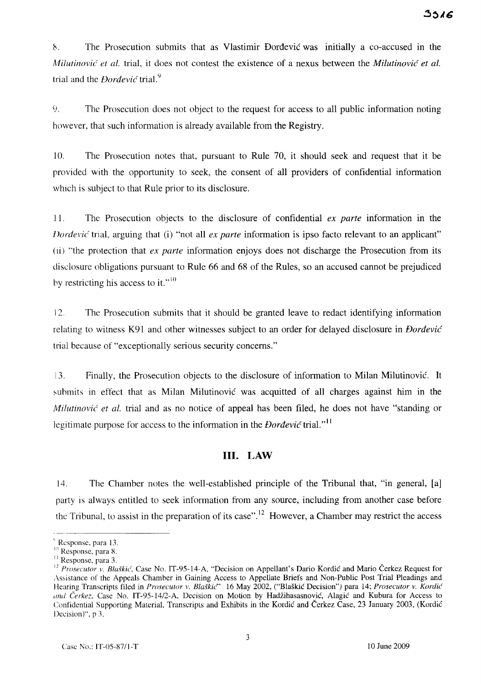~. The Prosecution submits that as Vlastimir Dordevic was initially a co-accused in the *Milutinovic et al.* trial, it does not contest the existence of a nexus between the *Milutinovic et al.*  trial and the *Dordevic* trial. 9

9. The Prosecution does not object to the request for access to all public information noting however, that such information is already available from the Registry.

10. The Prosecution notes that, pursuant to Rule 70, it should seek and request that it be provided with the opportunity to seek, the consent of all providers of confidential information which is subject to that Rule prior to its disclosure.

J 1. The Prosecution objects to the disclosure of confidential *ex parte* information in the *Dordevic* trial, arguing that (i) "not all *ex parte* information is ipso facto relevant to an applicant" (ii) "the protection that *ex parte* information enjoys does not discharge the Prosecution from its disclosure obligations pursuant to Rule 66 and 68 of the Rules, so an accused cannot be prejudiced by restricting his access to it."<sup>10</sup>

12. The Prosecution submits that it should be granted leave to redact identifying information relating to witness K91 and other witnesses subject to an order for delayed disclosure in *Dordevic*  trial because of "exceptionally serious security concerns."

3. Finally, the Prosecution objects to the disclosure of information to Milan Milutinovic. It submits in effect that as Milan Milutinovic was acquitted of all charges against him in the *Milutinović et al. trial and as no notice of appeal has been filed, he does not have "standing or* legitimate purpose for access to the information in the *Dordevic* trial."<sup>11</sup>

### **III. LAW**

14. The Chamber notes the well-established principle of the Tribunal that, "in general, [a] party is always entitled to seek information from any source, including from another case before the Tribunal, to assist in the preparation of its case".<sup>12</sup> However, a Chamber may restrict the access

<sup>,</sup> Response, para 13.

<sup>&</sup>lt;sup>10</sup> Response, para 8.

<sup>&</sup>lt;sup>11</sup> Response, para 3.

<sup>&</sup>lt;sup>12</sup> Prosecutor v. Blaškić, Case No. IT-95-14-A, "Decision on Appellant's Dario Kordić and Mario Čerkez Request for Assistance of the Appeals Chamber in Gaining Access to Appellate Briefs and Non-Public Post Trial Pleadings and Hearing Transcripts filed in *Prosecutor v. Blaškic*" 16 May 2002, ("Blaškic Decision") para 14; *Prosecutor v. Kordić* (//u/ *Cerkez,* Case No. IT-95-14/2-A, Decision on Motion by Hadzihasasnovic, Alagic and Kubura for Access to Confidential Supporting Material, Transcripts and Exhibits in the Kordic and Cerkez Case, 23 January 2003, (Kordic Decision)", p 3.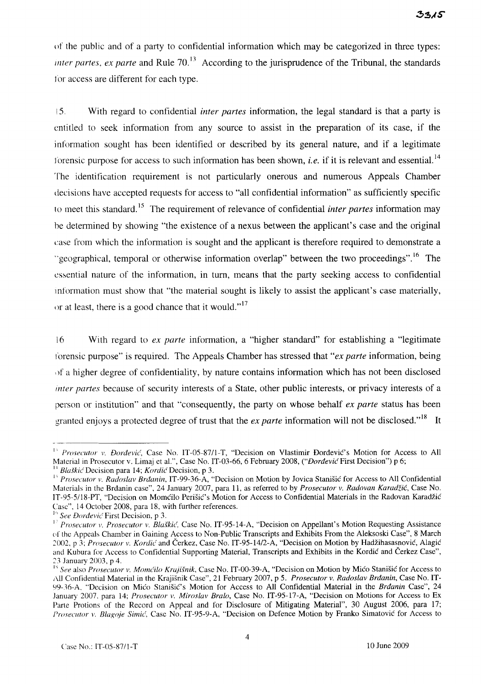()f the public and of a party to confidential information which may be categorized in three types: *inter partes, ex parte* and Rule  $70<sup>13</sup>$  According to the jurisprudence of the Tribunal, the standards for access are different for each type.

is. With regard to confidential *inter partes* information, the legal standard is that a party is entitled to seek information from any source to assist in the preparation of its case, if the information sought has been identified or described by its general nature, and if a legitimate lorensic purpose for access to such information has been shown, *i.e.* if it is relevant and essential.<sup>14</sup> The identification requirement is not particularly onerous and numerous Appeals Chamber decisions have accepted requests for access to "all confidential information" as sufficiently specific to meet this standard. 15 The requirement of relevance of confidential *inter partes* information may he determined by showing "the existence of a nexus between the applicant's case and the original case from which the information is sought and the applicant is therefore required to demonstrate a "geographical, temporal or otherwise information overlap" between the two proceedings".<sup>16</sup> The essential nature of the information, in turn, means that the party seeking access to confidential mformation must show that "the material sought is likely to assist the applicant's case materially, or at least, there is a good chance that it would." $17$ 

[6 With regard to *ex parte* information, a "higher standard" for establishing a "legitimate I'orensic purpose" is required. The Appeals Chamber has stressed that *"ex parte* information, being \)f a higher degree of confidentiality, by nature contains information which has not been disclosed *inter partes* because of security interests of a State, other public interests, or privacy interests of a person or institution" and that "consequently, the party on whose behalf *ex parte* status has been granted enjoys a protected degree of trust that the *ex parte* information will not be disclosed."<sup>18</sup> It

<sup>&</sup>lt;sup>13</sup> *Prosecutor v. Đorđević*, Case No. IT-05-87/1-T, "Decision on Vlastimir Đorđević's Motion for Access to All Material in Prosecutor v. Limaj et al.", Case No. IT-03-66, 6 February 2008, *("Dordević* First Decision") p 6; *Blaškić* Decision para 14; *Kordić* Decision, p 3.

<sup>&</sup>lt;sup>1</sup> *Prosecutor v. Radoslav Brdanin, IT-99-36-A, "Decision on Motion by Jovica Stanišić for Access to All Confidential* Materials in the Brdanin case", 24 January 2007, para 11, as referred to by *Prosecutor v. Radovan Karadzic,* Case No. IT-95-5/18-PT, "Decision on Momcilo Perišic's Motion for Access to Confidential Materials in the Radovan Karadžic Case", 14 October 2008, para 18, with further references.

<sup>&</sup>lt;sup>16</sup> See Dordevic First Decision, p 3.

I' *Prosecutor v. Prosecutor v. Bla§kic',* Case No. IT-95-14-A, "Decision on Appellant's Motion Requesting Assistance ('1' the Appeals Chamber in Gaining Access to Non-Public Transcripts and Exhibits From the Aleksoski Case", 8 March 2002, p 3; *Prosecutor v. Kordić* and Čerkez, Case No. IT-95-14/2-A, "Decision on Motion by Hadžihasasnović, Alagić and Kubura for Access to Confidential Supporting Material, Transcripts and Exhibits in the Kordic and Cerkez Case", 23 January 2003, p 4.

<sup>&</sup>lt;sup>18</sup> See also *Prosecutor v. Momćilo Krajišnik*, Case No. IT-00-39-A, "Decision on Motion by Mićo Stanišić for Access to All Confidential Material in the Krajisnik Case", 21 February 2007, p 5. *Prosecutor v. Radoslav Brdanin,* Case No. IT-99-36-A, "Decision on Mica StanisiC's Motion for Access to All Confidential Material in the *Brdanin* Case", 24 January 2007, para 14; *Prosecutor v. Miroslav Bralo*, Case No. IT-95-17-A, "Decision on Motions for Access to Ex Parte Protions of the Record on Appeal and for Disclosure of Mitigating Material", 30 August 2006, para 17; *Prosecutor v. Blagoje Simić, Case No. IT-95-9-A, "Decision on Defence Motion by Franko Simatović for Access to*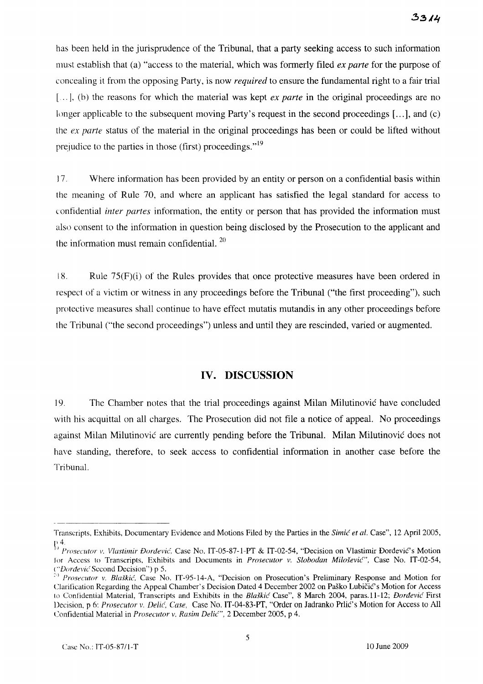has been held in the jurisprudence of the Tribuna1, that a party seeking access to such information must establish that (a) "access to the material, which was formerly filed *ex parte* for the purpose of concealing it from the opposing Party, is now *required* to ensure the fundamental right to a fair trial [...], (b) the reasons for which the material was kept *ex parte* in the original proceedings are no longer applicable to the subsequent moving Party's request in the second proceedings  $[...]$ , and (c) the *ex parte* status of the material in the original proceedings has been or could be lifted without prejudice to the parties in those (first) proceedings."<sup>19</sup>

17. Where information has been provided by an entity or person on a confidential basis within the meaning of Rule 70, and where an applicant has satisfied the legal standard for access to confidential *inter partes* information, the entity or person that has provided the information must also consent to the information in question being disclosed by the Prosecution to the applicant and the information must remain confidential.  $20$ 

 $18.$  Rule  $75(F)(i)$  of the Rules provides that once protective measures have been ordered in respect of a victim or witness in any proceedings before the Tribunal ("the first proceeding"), such protective measures shall continue to have effect mutatis mutandis in any other proceedings before the Tribunal ("the second proceedings") unless and until they are rescinded, varied or augmented.

# **IV. DISCUSSION**

19. The Chamber notes that the trial proceedings against Milan Milutinovic have concluded with his acquittal on all charges. The Prosecution did not file a notice of appeal. No proceedings against Milan Milutinovic are currently pending before the Tribunal. Milan Milutinovic does not have standing, therefore, to seek access to confidential information in another case before the Tribunal.

Transcripts, Exhibits, Documentary Evidence and Motions Filed by the Parties in the *Simic et al.* Case", 12 April 2005,

<sup>&</sup>lt;sup>*C</sup><sub>1</sub></sup> <i>Prosecutor v. Vlastimir Đorđević*, Case No. IT-05-87-1-PT & IT-02-54, "Decision on Vlastimir Đorđević's Motion *Prosecutor v. Vlastimir Đorđević's* Motion</sup> Jor Access to Transcripts, Exhibits and Documents in *Prosecutor v. Slobodan Milošević"*, Case No. IT-02-54, *("Dm'devi('* Second Decision") p 5.

<sup>&</sup>lt;sup>20</sup> *Prosecutor v. Blaškić*, Case No. IT-95-14-A, "Decision on Prosecution's Preliminary Response and Motion for Clarification Regarding the Appeal Chamber's Decision Dated 4 December 2002 on Paško Lubičić's Motion for Access to Confidential Material, Transcripts and Exhibits in the *Bla.fkic* Case", 8 March 2004, paras.1l-12; *Dordevic* First Decision, p 6: *Prosecutor* v. *Delie', Case,* Case No. IT-04-83-PT, "Order on Iadranko Prlic's Motion for Access to All Confidential Material in *Prosecutor v. Rasim Delić"*, 2 December 2005, p 4.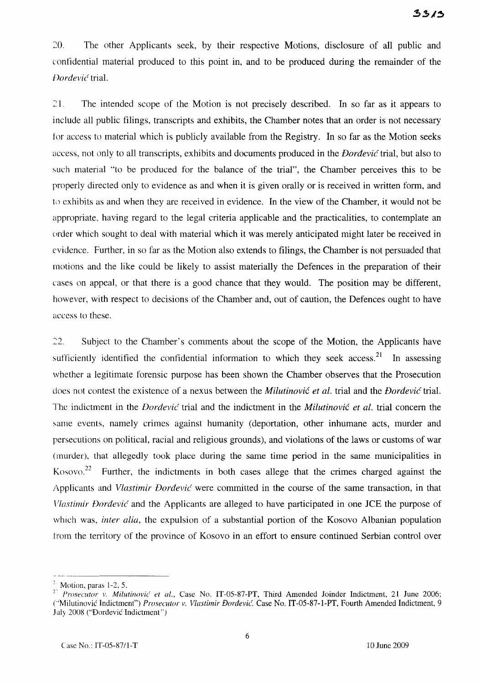20. The other Applicants seek, by their respective Motions, disclosure of all public and confidential material produced to this point in, and to be produced during the remainder of the J)ordevic~ trial.

21. The intended scope of the Motion is not precisely described. In so far as it appears to include all public filings, transcripts and exhibits, the Chamber notes that an order is not necessary tor access to material which is publicly available from the Registry. In so far as the Motion seeks access, not only to all transcripts, exhibits and documents produced in the *Dordevic* trial, but also to such material "to be produced for the balance of the trial", the Chamber perceives this to be properly directed only to evidence as and when it is given orally or is received in written form, and to exhibits as and when they are received in evidence. In the view of the Chamber, it would not be appropriate, having regard to the legal criteria applicable and the practicalities, to contemplate an (erder which sought to deal with material which it was merely anticipated might later be received in evidence. Further, in so far as the Motion also extends to filings, the Chamber is not persuaded that motions and the like could be likely to assist materially the Defences in the preparation of their cases on appeal, or that there is a good chance that they would. The position may be different, however, with respect to decisions of the Chamber and, out of caution, the Defences ought to have access to these.

22. Subject to the Chamber's comments about the scope of the Motion, the Applicants have sufficiently identified the confidential information to which they seek access.<sup>21</sup> In assessing whether a legitimate forensic purpose has been shown the Chamber observes that the Prosecution does not contest the existence of a nexus between the *Milutinovic et al.* trial and the *Dordevic* trial. Thc indictment in the *Dordevic* trial and the indictment in the *Miiutinovic et ai.* trial concern the same events, namely crimes against humanity (deportation, other inhumane acts, murder and persecutions on political, racial and religious grounds), and violations of the laws or customs of war (murder), that allegedly took place during the same time period in the same municipalities in Kosovo.<sup>22</sup> Further, the indictments in both cases allege that the crimes charged against the Applicants and *Vlastimir Dordevic* were committed in the course of the same transaction, in that *Vlastimir Dordevic* and the Applicants are alleged to have participated in one lCE the purpose of which was, *inter alia,* the expulsion of a substantial portion of the Kosovo Albanian population from the territory of the province of Kosovo in an effort to ensure continued Serbian control over

<sup>&</sup>lt;sup>2.</sup> Motion, paras 1-2, 5.

<sup>&</sup>lt;sup>27</sup> *Prosecutor v. Milutinović et al.*, Case No. IT-05-87-PT, Third Amended Joinder Indictment, 21 June 2006; ("Milutinovic Indictment") *Prosecutor v. Vlastimir Đorđević*, Case No. IT-05-87-1-PT, Fourth Amended Indictment, 9 Jul) 2008 ("Dordevic Indictment")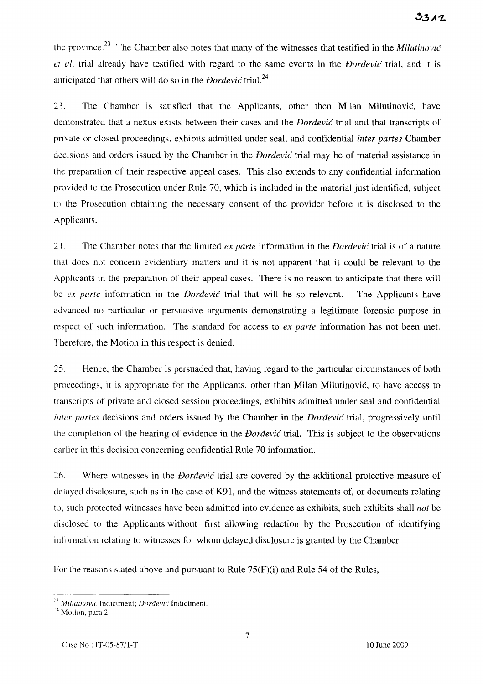the province,23 The Chamber also notes that many of the witnesses that testified in the *Milutinovic el al.* trial already have testified with regard to the same events in the *Dordevic* trial, and it is anticipated that others will do so in the *Dordevic* trial. <sup>24</sup>

2). The Chamber is satisfied that the Applicants, other then Milan Milutinovic, have demonstrated that a nexus exists between their cases and the *Dordevic* trial and that transcripts of private or closed proceedings, exhibits admitted under seal, and confidential *inter partes* Chamber decisions and orders issued by the Chamber in the *Dordevic* trial may be of material assistance in the preparation of their respective appeal cases. This also extends to any confidential information provided to the Prosecution under Rule 70, which is included in the material just identified, subject to the Prosecution obtaining the necessary consent of the provider before it is disclosed to the Applicants.

24. The Chamber notes that the limited *ex parte* information in the *Dordevic* trial is of a nature that does not concern evidentiary matters and it is not apparent that it could be relevant to the Applicants in the preparation of their appeal cases. There is no reason to anticipate that there will be *ex parte* information in the *Dordevic* trial that will be so relevant. The Applicants have advanced no particular or persuasive arguments demonstrating a legitimate forensic purpose in respect of such information. The standard for access to *ex parte* information has not been met. Therefore, the Motion in this respect is denied.

25. Hence, the Chamber is persuaded that, having regard to the particular circumstances of both proceedings, it is appropriate for the Applicants, other than Milan Milutinovic, to have access to transcripts of private and closed session proceedings, exhibits admitted under seal and confidential *inter partes* decisions and orders issued by the Chamber in the *Dordevic* trial, progressively until the completion of the hearing of evidence in the *Dordevic* trial. This is subject to the observations earlier in this decision concerning confidential Rule 70 information.

 $26.$  Where witnesses in the *Dordević* trial are covered by the additional protective measure of delayed disclosure, such as in the case of K91, and the witness statements of, or documents relating to, such protected witnesses have been admitted into evidence as exhibits, such exhibits shall *not* be disclosed to the Applicants without first allowing redaction by the Prosecution of identifying information relating to witnesses for whom delayed disclosure is granted by the Chamber.

For the reasons stated above and pursuant to Rule 75(F)(i) and Rule 54 of the Rules,

<sup>&</sup>lt;sup>23</sup> Milutinović Indictment; *Dorđević* Indictment.

<sup>&</sup>lt;sup>24</sup> Motion, para 2.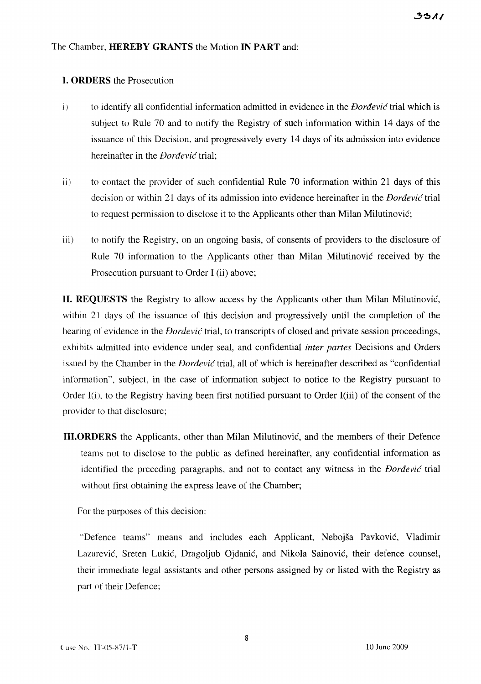#### The Chamber, **HEREBY GRANTS** the Motion **IN PART** and:

#### **I. ORDERS** the Prosecution

- i) to identify all confidential information admitted in evidence in the *Dordevic* trial which is subject to Rule 70 and to notify the Registry of such information within 14 days of the issuance of this Decision, and progressively every 14 days of its admission into evidence hereinafter in the *Dordevic* trial;
- ii) to contact the provider of such confidential Rule 70 information within 21 days of this decision or within 21 days of its admission into evidence hereinafter in the *Dordevic* trial to request permission to disclose it to the Applicants other than Milan Milutinovic;
- iii) to notify the Registry, on an ongoing basis, of consents of providers to the disclosure of Rule 70 information to the Applicants other than Milan Milutinovic received by the Prosecution pursuant to Order I (ii) above;

**lI. REQUESTS** the Registry to allow access by the Applicants other than Milan Milutinovic, within 21 days of the issuance of this decision and progressively until the completion of the hearing of evidence in the *Dordevic* trial, to transcripts of closed and private session proceedings, exhibits admitted into evidence under seal, and confidential *inter partes* Decisions and Orders issued by the Chamber in the *Dordevic* trial, all of which is hereinafter described as "confidential information", subject, in the case of information subject to notice to the Registry pursuant to Order I(i), to the Registry having been first notified pursuant to Order I(iii) of the consent of the provider to that disclosure;

III. ORDERS the Applicants, other than Milan Milutinovic, and the members of their Defence teams not to disclose to the public as defined hereinafter, any confidential information as identified the preceding paragraphs, and not to contact any witness in the *Dordevic* trial without first obtaining the express leave of the Chamber;

For the purposes of this decision:

"Defence teams" means and includes each Applicant, Nebojsa Pavkovic, Vladimir Lazarevic, Sreten Lukic, Dragoljub Ojdanic, and Nikola Sainovic, their defence counsel, their immediate legal assistants and other persons assigned by or listed with the Registry as part of their Defence;